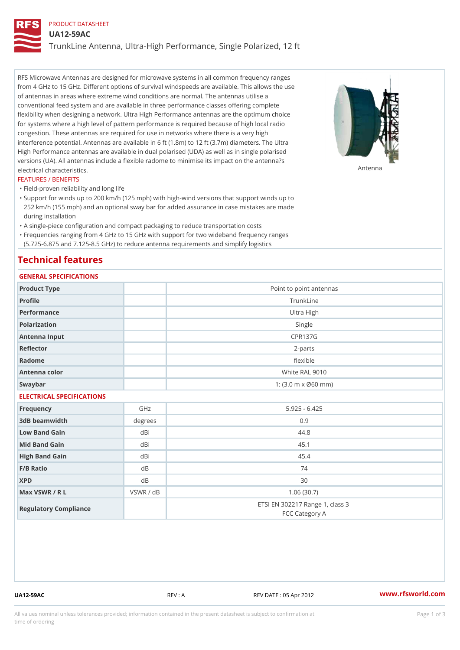## PRODUCT DATASHEET

UA12-59AC

TrunkLine Antenna, Ultra-High Performance, Single Polarized, 12 ft

RFS Microwave Antennas are designed for microwave systems in all common frequency ranges from 4 GHz to 15 GHz. Different options of survival windspeeds are available. This allows the use of antennas in areas where extreme wind conditions are normal. The antennas utilise a conventional feed system and are available in three performance classes offering complete flexibility when designing a network. Ultra High Performance antennas are the optimum choice for systems where a high level of pattern performance is required because of high local radio congestion. These antennas are required for use in networks where there is a very high interference potential. Antennas are available in 6 ft (1.8m) to 12 ft (3.7m) diameters. The Ultra High Performance antennas are available in dual polarised (UDA) as well as in single polarised versions (UA). All antennas include a flexible radome to minimise its impact on the antenna?s electrical characteristics. Antenna

#### FEATURES / BENEFITS

"Field-proven reliability and long life

- Support for winds up to 200 km/h (125 mph) with high-wind versions that support winds up to " 252 km/h (155 mph) and an optional sway bar for added assurance in case mistakes are made during installation
- "A single-piece configuration and compact packaging to reduce transportation costs
- Frequencies ranging from 4 GHz to 15 GHz with support for two wideband frequency ranges "
- (5.725-6.875 and 7.125-8.5 GHz) to reduce antenna requirements and simplify logistics

## Technical features

# GENERAL SPECIFICATIONS

| OLIVERAL OF LOTITUATIONS  |           |                                                         |  |  |  |
|---------------------------|-----------|---------------------------------------------------------|--|--|--|
| Product Type              |           | Point to point antennas                                 |  |  |  |
| Profile                   |           | TrunkLine                                               |  |  |  |
| Performance               |           | Ultra High                                              |  |  |  |
| Polarization              |           | Single                                                  |  |  |  |
| Antenna Input             |           | <b>CPR137G</b>                                          |  |  |  |
| Reflector                 |           | $2 - p$ arts                                            |  |  |  |
| Radome                    |           | flexible                                                |  |  |  |
| Antenna color             |           | White RAL 9010                                          |  |  |  |
| Swaybar                   |           | 1: $(3.0 \, \text{m} \times \emptyset 60 \, \text{mm})$ |  |  |  |
| ELECTRICAL SPECIFICATIONS |           |                                                         |  |  |  |
| Frequency                 | GHz       | $5.925 - 6.425$                                         |  |  |  |
| 3dB beamwidth             | degrees   | 0.9                                                     |  |  |  |
| Low Band Gain             | dBi       | 44.8                                                    |  |  |  |
| Mid Band Gain             | dBi       | 45.1                                                    |  |  |  |
| High Band Gain            | dBi       | 45.4                                                    |  |  |  |
| F/B Ratio                 | $d$ B     | 74                                                      |  |  |  |
| <b>XPD</b>                | d B       | 30                                                      |  |  |  |
| Max VSWR / R L            | VSWR / dB | 1.06(30.7)                                              |  |  |  |
| Regulatory Compliance     |           | ETSI EN 302217 Range 1, class 3<br>FCC Category A       |  |  |  |

UA12-59AC REV : A REV DATE : 05 Apr 2012 [www.](https://www.rfsworld.com)rfsworld.com

All values nominal unless tolerances provided; information contained in the present datasheet is subject to Pcapgeign mation time of ordering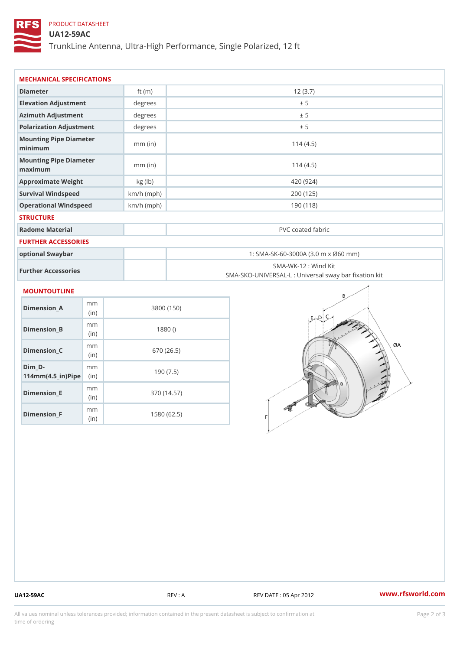# PRODUCT DATASHEET

## UA12-59AC

TrunkLine Antenna, Ultra-High Performance, Single Polarized, 12 ft

| MECHANICAL SPECIFICATIONS                                                  |              |                                                                          |  |
|----------------------------------------------------------------------------|--------------|--------------------------------------------------------------------------|--|
| Diameter                                                                   | ft $(m)$     | 12(3.7)                                                                  |  |
| Elevation Adjustment                                                       | degree       | ± 5                                                                      |  |
| Azimuth Adjustment                                                         | degrees      | ± 5                                                                      |  |
| Polarization Adjustment                                                    | degrees      | ± 5                                                                      |  |
| Mounting Pipe Diameter<br>minimum                                          | $mm$ (in)    | 114(4.5)                                                                 |  |
| Mounting Pipe Diameter<br>maximum                                          | $mm$ (in)    | 114(4.5)                                                                 |  |
| Approximate Weight                                                         | kg (lb)      | 420 (924)                                                                |  |
| Survival Windspeed                                                         | $km/h$ (mph) | 200 (125)                                                                |  |
| Operational Windspeed                                                      | $km/h$ (mph) | 190 (118)                                                                |  |
| <b>STRUCTURE</b>                                                           |              |                                                                          |  |
| Radome Material                                                            |              | PVC coated fabric                                                        |  |
| FURTHER ACCESSORIES                                                        |              |                                                                          |  |
| optional Swaybar                                                           |              | 1: SMA-SK-60-3000A (3.0 m x Ø60 mm)                                      |  |
| Further Accessories                                                        |              | SMA-WK-12: Wind Kit<br>SMA-SKO-UNIVERSAL-L : Universal sway bar fixation |  |
| MOUNTOUTLINE                                                               |              |                                                                          |  |
| m m<br>$Dimension_A$<br>(in)                                               |              | 3800 (150)                                                               |  |
| m m<br>$Dimension_B$<br>(in)                                               |              | 1880()                                                                   |  |
| m m<br>Dimension_C<br>(in)                                                 |              | 670 (26.5)                                                               |  |
| $Dim_D - D -$<br>m <sub>m</sub><br>$114$ m m $(4.5$ ir $)$ $\sqrt{$ ip $e$ |              | 190(7.5)                                                                 |  |

Dimension\_F m<sub>m</sub> (in) 1580 (62.5)

m<sub>m</sub> (in)

Dimension\_E

370 (14.57)

UA12-59AC REV : A REV DATE : 05 Apr 2012 [www.](https://www.rfsworld.com)rfsworld.com